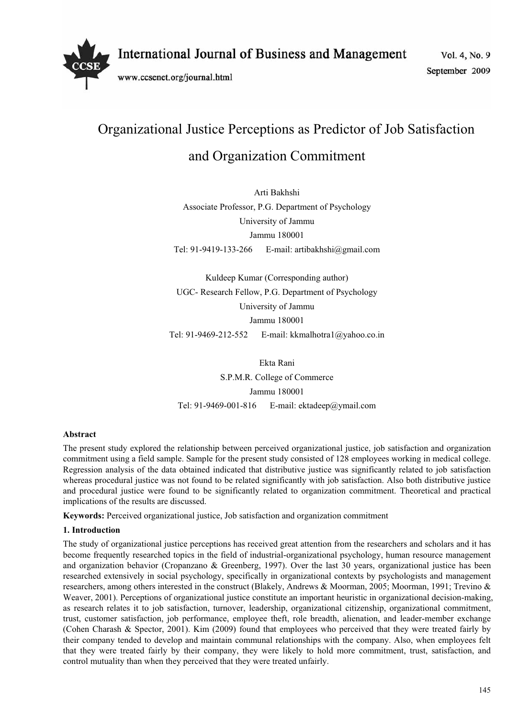*International Journal of Business and Management* September, 2009



Vol. 4, No. 9 September 2009

# Organizational Justice Perceptions as Predictor of Job Satisfaction and Organization Commitment

Arti Bakhshi

Associate Professor, P.G. Department of Psychology University of Jammu

Jammu 180001

Tel: 91-9419-133-266 E-mail: artibakhshi@gmail.com

Kuldeep Kumar (Corresponding author) UGC- Research Fellow, P.G. Department of Psychology University of Jammu Jammu 180001 Tel: 91-9469-212-552 E-mail: kkmalhotra1@yahoo.co.in

Ekta Rani S.P.M.R. College of Commerce Jammu 180001 Tel: 91-9469-001-816 E-mail: ektadeep@ymail.com

# **Abstract**

The present study explored the relationship between perceived organizational justice, job satisfaction and organization commitment using a field sample. Sample for the present study consisted of 128 employees working in medical college. Regression analysis of the data obtained indicated that distributive justice was significantly related to job satisfaction whereas procedural justice was not found to be related significantly with job satisfaction. Also both distributive justice and procedural justice were found to be significantly related to organization commitment. Theoretical and practical implications of the results are discussed.

**Keywords:** Perceived organizational justice, Job satisfaction and organization commitment

# **1. Introduction**

The study of organizational justice perceptions has received great attention from the researchers and scholars and it has become frequently researched topics in the field of industrial-organizational psychology, human resource management and organization behavior (Cropanzano & Greenberg, 1997). Over the last 30 years, organizational justice has been researched extensively in social psychology, specifically in organizational contexts by psychologists and management researchers, among others interested in the construct (Blakely, Andrews & Moorman, 2005; Moorman, 1991; Trevino & Weaver, 2001). Perceptions of organizational justice constitute an important heuristic in organizational decision-making, as research relates it to job satisfaction, turnover, leadership, organizational citizenship, organizational commitment, trust, customer satisfaction, job performance, employee theft, role breadth, alienation, and leader-member exchange (Cohen Charash & Spector, 2001). Kim (2009) found that employees who perceived that they were treated fairly by their company tended to develop and maintain communal relationships with the company. Also, when employees felt that they were treated fairly by their company, they were likely to hold more commitment, trust, satisfaction, and control mutuality than when they perceived that they were treated unfairly.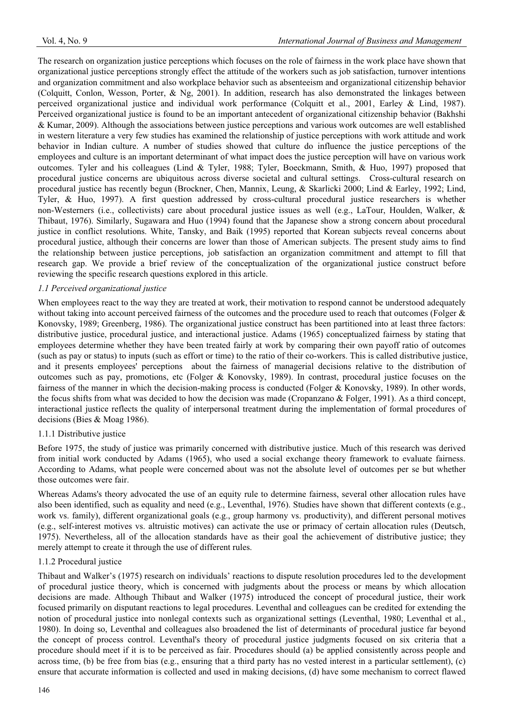The research on organization justice perceptions which focuses on the role of fairness in the work place have shown that organizational justice perceptions strongly effect the attitude of the workers such as job satisfaction, turnover intentions and organization commitment and also workplace behavior such as absenteeism and organizational citizenship behavior (Colquitt, Conlon, Wesson, Porter, & Ng, 2001). In addition, research has also demonstrated the linkages between perceived organizational justice and individual work performance (Colquitt et al., 2001, Earley & Lind, 1987). Perceived organizational justice is found to be an important antecedent of organizational citizenship behavior (Bakhshi & Kumar, 2009). Although the associations between justice perceptions and various work outcomes are well established in western literature a very few studies has examined the relationship of justice perceptions with work attitude and work behavior in Indian culture. A number of studies showed that culture do influence the justice perceptions of the employees and culture is an important determinant of what impact does the justice perception will have on various work outcomes. Tyler and his colleagues (Lind & Tyler, 1988; Tyler, Boeckmann, Smith, & Huo, 1997) proposed that procedural justice concerns are ubiquitous across diverse societal and cultural settings. Cross-cultural research on procedural justice has recently begun (Brockner, Chen, Mannix, Leung, & Skarlicki 2000; Lind & Earley, 1992; Lind, Tyler, & Huo, 1997). A first question addressed by cross-cultural procedural justice researchers is whether non-Westerners (i.e., collectivists) care about procedural justice issues as well (e.g., LaTour, Houlden, Walker, & Thibaut, 1976). Similarly, Sugawara and Huo (1994) found that the Japanese show a strong concern about procedural justice in conflict resolutions. White, Tansky, and Baik (1995) reported that Korean subjects reveal concerns about procedural justice, although their concerns are lower than those of American subjects. The present study aims to find the relationship between justice perceptions, job satisfaction an organization commitment and attempt to fill that research gap. We provide a brief review of the conceptualization of the organizational justice construct before reviewing the specific research questions explored in this article.

## *1.1 Perceived organizational justice*

When employees react to the way they are treated at work, their motivation to respond cannot be understood adequately without taking into account perceived fairness of the outcomes and the procedure used to reach that outcomes (Folger & Konovsky, 1989; Greenberg, 1986). The organizational justice construct has been partitioned into at least three factors: distributive justice, procedural justice, and interactional justice. Adams (1965) conceptualized fairness by stating that employees determine whether they have been treated fairly at work by comparing their own payoff ratio of outcomes (such as pay or status) to inputs (such as effort or time) to the ratio of their co-workers. This is called distributive justice, and it presents employees' perceptions about the fairness of managerial decisions relative to the distribution of outcomes such as pay, promotions, etc (Folger & Konovsky, 1989). In contrast, procedural justice focuses on the fairness of the manner in which the decision-making process is conducted (Folger & Konovsky, 1989). In other words, the focus shifts from what was decided to how the decision was made (Cropanzano & Folger, 1991). As a third concept, interactional justice reflects the quality of interpersonal treatment during the implementation of formal procedures of decisions (Bies & Moag 1986).

## 1.1.1 Distributive justice

Before 1975, the study of justice was primarily concerned with distributive justice. Much of this research was derived from initial work conducted by Adams (1965), who used a social exchange theory framework to evaluate fairness. According to Adams, what people were concerned about was not the absolute level of outcomes per se but whether those outcomes were fair.

Whereas Adams's theory advocated the use of an equity rule to determine fairness, several other allocation rules have also been identified, such as equality and need (e.g., Leventhal, 1976). Studies have shown that different contexts (e.g., work vs. family), different organizational goals (e.g., group harmony vs. productivity), and different personal motives (e.g., self-interest motives vs. altruistic motives) can activate the use or primacy of certain allocation rules (Deutsch, 1975). Nevertheless, all of the allocation standards have as their goal the achievement of distributive justice; they merely attempt to create it through the use of different rules.

## 1.1.2 Procedural justice

Thibaut and Walker's (1975) research on individuals' reactions to dispute resolution procedures led to the development of procedural justice theory, which is concerned with judgments about the process or means by which allocation decisions are made. Although Thibaut and Walker (1975) introduced the concept of procedural justice, their work focused primarily on disputant reactions to legal procedures. Leventhal and colleagues can be credited for extending the notion of procedural justice into nonlegal contexts such as organizational settings (Leventhal, 1980; Leventhal et al., 1980). In doing so, Leventhal and colleagues also broadened the list of determinants of procedural justice far beyond the concept of process control. Leventhal's theory of procedural justice judgments focused on six criteria that a procedure should meet if it is to be perceived as fair. Procedures should (a) be applied consistently across people and across time, (b) be free from bias (e.g., ensuring that a third party has no vested interest in a particular settlement), (c) ensure that accurate information is collected and used in making decisions, (d) have some mechanism to correct flawed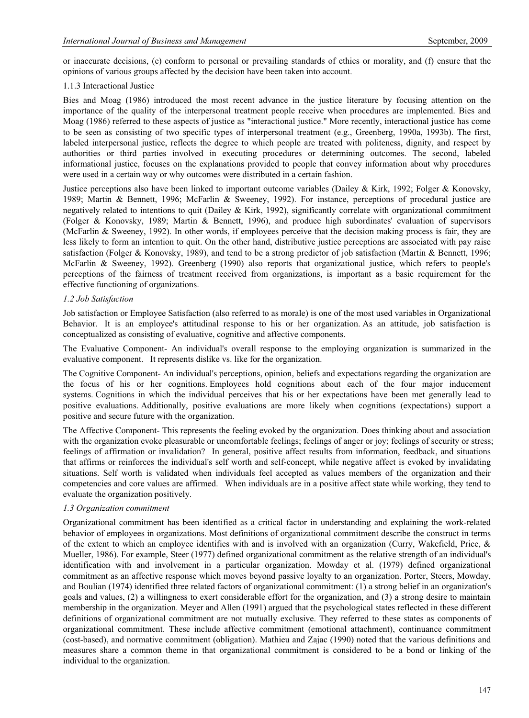or inaccurate decisions, (e) conform to personal or prevailing standards of ethics or morality, and (f) ensure that the opinions of various groups affected by the decision have been taken into account.

## 1.1.3 Interactional Justice

Bies and Moag (1986) introduced the most recent advance in the justice literature by focusing attention on the importance of the quality of the interpersonal treatment people receive when procedures are implemented. Bies and Moag (1986) referred to these aspects of justice as "interactional justice." More recently, interactional justice has come to be seen as consisting of two specific types of interpersonal treatment (e.g., Greenberg, 1990a, 1993b). The first, labeled interpersonal justice, reflects the degree to which people are treated with politeness, dignity, and respect by authorities or third parties involved in executing procedures or determining outcomes. The second, labeled informational justice, focuses on the explanations provided to people that convey information about why procedures were used in a certain way or why outcomes were distributed in a certain fashion.

Justice perceptions also have been linked to important outcome variables (Dailey & Kirk, 1992; Folger & Konovsky, 1989; Martin & Bennett, 1996; McFarlin & Sweeney, 1992). For instance, perceptions of procedural justice are negatively related to intentions to quit (Dailey & Kirk, 1992), significantly correlate with organizational commitment (Folger & Konovsky, 1989; Martin & Bennett, 1996), and produce high subordinates' evaluation of supervisors (McFarlin & Sweeney, 1992). In other words, if employees perceive that the decision making process is fair, they are less likely to form an intention to quit. On the other hand, distributive justice perceptions are associated with pay raise satisfaction (Folger & Konovsky, 1989), and tend to be a strong predictor of job satisfaction (Martin & Bennett, 1996; McFarlin & Sweeney, 1992). Greenberg (1990) also reports that organizational justice, which refers to people's perceptions of the fairness of treatment received from organizations, is important as a basic requirement for the effective functioning of organizations.

## *1.2 Job Satisfaction*

Job satisfaction or Employee Satisfaction (also referred to as morale) is one of the most used variables in Organizational Behavior. It is an employee's attitudinal response to his or her organization. As an attitude, job satisfaction is conceptualized as consisting of evaluative, cognitive and affective components.

The Evaluative Component- An individual's overall response to the employing organization is summarized in the evaluative component. It represents dislike vs. like for the organization.

The Cognitive Component- An individual's perceptions, opinion, beliefs and expectations regarding the organization are the focus of his or her cognitions. Employees hold cognitions about each of the four major inducement systems. Cognitions in which the individual perceives that his or her expectations have been met generally lead to positive evaluations. Additionally, positive evaluations are more likely when cognitions (expectations) support a positive and secure future with the organization.

The Affective Component- This represents the feeling evoked by the organization. Does thinking about and association with the organization evoke pleasurable or uncomfortable feelings; feelings of anger or joy; feelings of security or stress; feelings of affirmation or invalidation? In general, positive affect results from information, feedback, and situations that affirms or reinforces the individual's self worth and self-concept, while negative affect is evoked by invalidating situations. Self worth is validated when individuals feel accepted as values members of the organization and their competencies and core values are affirmed. When individuals are in a positive affect state while working, they tend to evaluate the organization positively.

## *1.3 Organization commitment*

Organizational commitment has been identified as a critical factor in understanding and explaining the work-related behavior of employees in organizations. Most definitions of organizational commitment describe the construct in terms of the extent to which an employee identifies with and is involved with an organization (Curry, Wakefield, Price, & Mueller, 1986). For example, Steer (1977) defined organizational commitment as the relative strength of an individual's identification with and involvement in a particular organization. Mowday et al. (1979) defined organizational commitment as an affective response which moves beyond passive loyalty to an organization. Porter, Steers, Mowday, and Boulian (1974) identified three related factors of organizational commitment: (1) a strong belief in an organization's goals and values, (2) a willingness to exert considerable effort for the organization, and (3) a strong desire to maintain membership in the organization. Meyer and Allen (1991) argued that the psychological states reflected in these different definitions of organizational commitment are not mutually exclusive. They referred to these states as components of organizational commitment. These include affective commitment (emotional attachment), continuance commitment (cost-based), and normative commitment (obligation). Mathieu and Zajac (1990) noted that the various definitions and measures share a common theme in that organizational commitment is considered to be a bond or linking of the individual to the organization.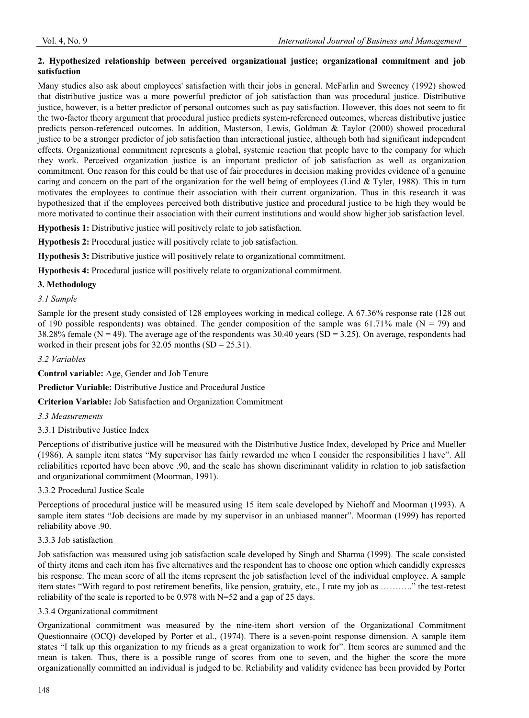# **2. Hypothesized relationship between perceived organizational justice; organizational commitment and job satisfaction**

Many studies also ask about employees' satisfaction with their jobs in general. McFarlin and Sweeney (1992) showed that distributive justice was a more powerful predictor of job satisfaction than was procedural justice. Distributive justice, however, is a better predictor of personal outcomes such as pay satisfaction. However, this does not seem to fit the two-factor theory argument that procedural justice predicts system-referenced outcomes, whereas distributive justice predicts person-referenced outcomes. In addition, Masterson, Lewis, Goldman & Taylor (2000) showed procedural justice to be a stronger predictor of job satisfaction than interactional justice, although both had significant independent effects. Organizational commitment represents a global, systemic reaction that people have to the company for which they work. Perceived organization justice is an important predictor of job satisfaction as well as organization commitment. One reason for this could be that use of fair procedures in decision making provides evidence of a genuine caring and concern on the part of the organization for the well being of employees (Lind  $&$  Tyler, 1988). This in turn motivates the employees to continue their association with their current organization. Thus in this research it was hypothesized that if the employees perceived both distributive justice and procedural justice to be high they would be more motivated to continue their association with their current institutions and would show higher job satisfaction level.

**Hypothesis 1:** Distributive justice will positively relate to job satisfaction.

**Hypothesis 2:** Procedural justice will positively relate to job satisfaction.

**Hypothesis 3:** Distributive justice will positively relate to organizational commitment.

**Hypothesis 4:** Procedural justice will positively relate to organizational commitment.

## **3. Methodology**

*3.1 Sample* 

Sample for the present study consisted of 128 employees working in medical college. A 67.36% response rate (128 out of 190 possible respondents) was obtained. The gender composition of the sample was 61.71% male ( $N = 79$ ) and 38.28% female (N = 49). The average age of the respondents was 30.40 years (SD = 3.25). On average, respondents had worked in their present jobs for  $32.05$  months (SD =  $25.31$ ).

## *3.2 Variables*

**Control variable:** Age, Gender and Job Tenure

**Predictor Variable:** Distributive Justice and Procedural Justice

**Criterion Variable:** Job Satisfaction and Organization Commitment

# *3.3 Measurements*

3.3.1 Distributive Justice Index

Perceptions of distributive justice will be measured with the Distributive Justice Index, developed by Price and Mueller (1986). A sample item states "My supervisor has fairly rewarded me when I consider the responsibilities I have". All reliabilities reported have been above .90, and the scale has shown discriminant validity in relation to job satisfaction and organizational commitment (Moorman, 1991).

## 3.3.2 Procedural Justice Scale

Perceptions of procedural justice will be measured using 15 item scale developed by Niehoff and Moorman (1993). A sample item states "Job decisions are made by my supervisor in an unbiased manner". Moorman (1999) has reported reliability above .90.

# 3.3.3 Job satisfaction

Job satisfaction was measured using job satisfaction scale developed by Singh and Sharma (1999). The scale consisted of thirty items and each item has five alternatives and the respondent has to choose one option which candidly expresses his response. The mean score of all the items represent the job satisfaction level of the individual employee. A sample item states "With regard to post retirement benefits, like pension, gratuity, etc., I rate my job as ……….." the test-retest reliability of the scale is reported to be 0.978 with N=52 and a gap of 25 days.

## 3.3.4 Organizational commitment

Organizational commitment was measured by the nine-item short version of the Organizational Commitment Questionnaire (OCQ) developed by Porter et al., (1974). There is a seven-point response dimension. A sample item states "I talk up this organization to my friends as a great organization to work for". Item scores are summed and the mean is taken. Thus, there is a possible range of scores from one to seven, and the higher the score the more organizationally committed an individual is judged to be. Reliability and validity evidence has been provided by Porter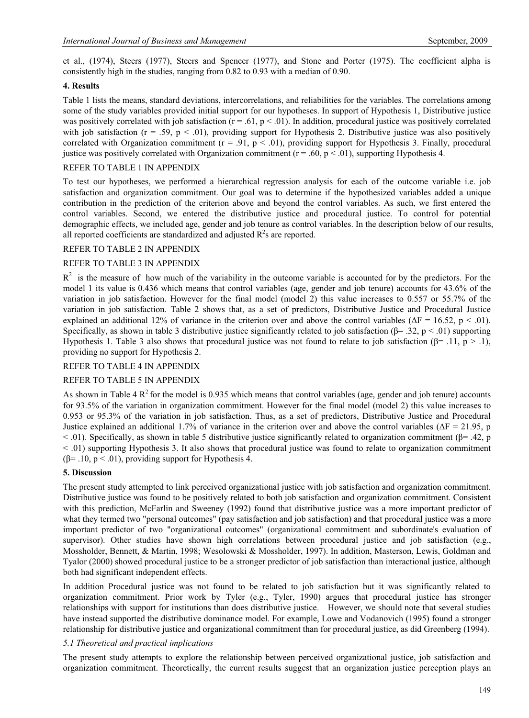et al., (1974), Steers (1977), Steers and Spencer (1977), and Stone and Porter (1975). The coefficient alpha is consistently high in the studies, ranging from 0.82 to 0.93 with a median of 0.90.

# **4. Results**

Table 1 lists the means, standard deviations, intercorrelations, and reliabilities for the variables. The correlations among some of the study variables provided initial support for our hypotheses. In support of Hypothesis 1, Distributive justice was positively correlated with job satisfaction ( $r = .61$ ,  $p < .01$ ). In addition, procedural justice was positively correlated with job satisfaction ( $r = .59$ ,  $p < .01$ ), providing support for Hypothesis 2. Distributive justice was also positively correlated with Organization commitment ( $r = .91$ ,  $p < .01$ ), providing support for Hypothesis 3. Finally, procedural justice was positively correlated with Organization commitment ( $r = .60$ ,  $p < .01$ ), supporting Hypothesis 4.

## REFER TO TABLE 1 IN APPENDIX

To test our hypotheses, we performed a hierarchical regression analysis for each of the outcome variable i.e. job satisfaction and organization commitment. Our goal was to determine if the hypothesized variables added a unique contribution in the prediction of the criterion above and beyond the control variables. As such, we first entered the control variables. Second, we entered the distributive justice and procedural justice. To control for potential demographic effects, we included age, gender and job tenure as control variables. In the description below of our results, all reported coefficients are standardized and adjusted  $R^2$ s are reported.

## REFER TO TABLE 2 IN APPENDIX

## REFER TO TABLE 3 IN APPENDIX

 $R<sup>2</sup>$  is the measure of how much of the variability in the outcome variable is accounted for by the predictors. For the model 1 its value is 0.436 which means that control variables (age, gender and job tenure) accounts for 43.6% of the variation in job satisfaction. However for the final model (model 2) this value increases to 0.557 or 55.7% of the variation in job satisfaction. Table 2 shows that, as a set of predictors, Distributive Justice and Procedural Justice explained an additional 12% of variance in the criterion over and above the control variables ( $\Delta F = 16.52$ , p < .01). Specifically, as shown in table 3 distributive justice significantly related to job satisfaction ( $\beta$ = .32, p < .01) supporting Hypothesis 1. Table 3 also shows that procedural justice was not found to relate to job satisfaction ( $\beta$ = .11, p > .1), providing no support for Hypothesis 2.

## REFER TO TABLE 4 IN APPENDIX

## REFER TO TABLE 5 IN APPENDIX

As shown in Table 4  $\mathbb{R}^2$  for the model is 0.935 which means that control variables (age, gender and job tenure) accounts for 93.5% of the variation in organization commitment. However for the final model (model 2) this value increases to 0.953 or 95.3% of the variation in job satisfaction. Thus, as a set of predictors, Distributive Justice and Procedural Justice explained an additional 1.7% of variance in the criterion over and above the control variables ( $\Delta F = 21.95$ , p  $<$  01). Specifically, as shown in table 5 distributive justice significantly related to organization commitment ( $\beta$ = .42, p < .01) supporting Hypothesis 3. It also shows that procedural justice was found to relate to organization commitment ( $\beta$ = .10,  $p$  < .01), providing support for Hypothesis 4.

## **5. Discussion**

The present study attempted to link perceived organizational justice with job satisfaction and organization commitment. Distributive justice was found to be positively related to both job satisfaction and organization commitment. Consistent with this prediction, McFarlin and Sweeney (1992) found that distributive justice was a more important predictor of what they termed two "personal outcomes" (pay satisfaction and job satisfaction) and that procedural justice was a more important predictor of two "organizational outcomes" (organizational commitment and subordinate's evaluation of supervisor). Other studies have shown high correlations between procedural justice and job satisfaction (e.g., Mossholder, Bennett, & Martin, 1998; Wesolowski & Mossholder, 1997). In addition, Masterson, Lewis, Goldman and Tyalor (2000) showed procedural justice to be a stronger predictor of job satisfaction than interactional justice, although both had significant independent effects.

In addition Procedural justice was not found to be related to job satisfaction but it was significantly related to organization commitment. Prior work by Tyler (e.g., Tyler, 1990) argues that procedural justice has stronger relationships with support for institutions than does distributive justice. However, we should note that several studies have instead supported the distributive dominance model. For example, Lowe and Vodanovich (1995) found a stronger relationship for distributive justice and organizational commitment than for procedural justice, as did Greenberg (1994).

## *5.1 Theoretical and practical implications*

The present study attempts to explore the relationship between perceived organizational justice, job satisfaction and organization commitment. Theoretically, the current results suggest that an organization justice perception plays an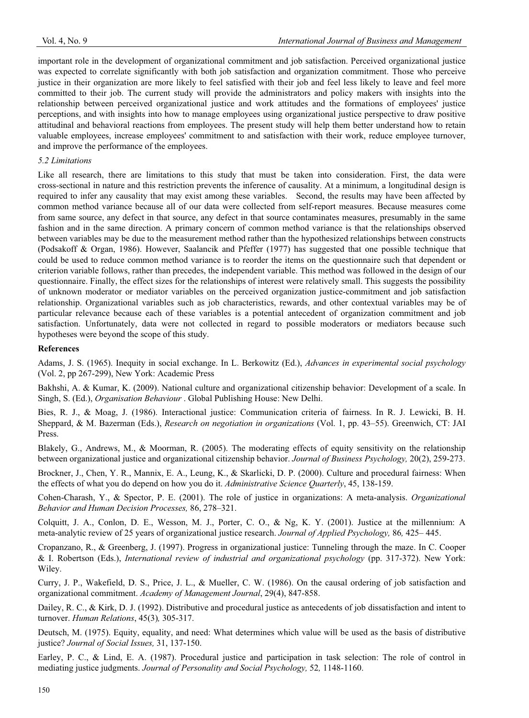important role in the development of organizational commitment and job satisfaction. Perceived organizational justice was expected to correlate significantly with both job satisfaction and organization commitment. Those who perceive justice in their organization are more likely to feel satisfied with their job and feel less likely to leave and feel more committed to their job. The current study will provide the administrators and policy makers with insights into the relationship between perceived organizational justice and work attitudes and the formations of employees' justice perceptions, and with insights into how to manage employees using organizational justice perspective to draw positive attitudinal and behavioral reactions from employees. The present study will help them better understand how to retain valuable employees, increase employees' commitment to and satisfaction with their work, reduce employee turnover, and improve the performance of the employees.

## *5.2 Limitations*

Like all research, there are limitations to this study that must be taken into consideration. First, the data were cross-sectional in nature and this restriction prevents the inference of causality. At a minimum, a longitudinal design is required to infer any causality that may exist among these variables. Second, the results may have been affected by common method variance because all of our data were collected from self-report measures. Because measures come from same source, any defect in that source, any defect in that source contaminates measures, presumably in the same fashion and in the same direction. A primary concern of common method variance is that the relationships observed between variables may be due to the measurement method rather than the hypothesized relationships between constructs (Podsakoff & Organ, 1986). However, Saalancik and Pfeffer (1977) has suggested that one possible technique that could be used to reduce common method variance is to reorder the items on the questionnaire such that dependent or criterion variable follows, rather than precedes, the independent variable. This method was followed in the design of our questionnaire. Finally, the effect sizes for the relationships of interest were relatively small. This suggests the possibility of unknown moderator or mediator variables on the perceived organization justice-commitment and job satisfaction relationship. Organizational variables such as job characteristics, rewards, and other contextual variables may be of particular relevance because each of these variables is a potential antecedent of organization commitment and job satisfaction. Unfortunately, data were not collected in regard to possible moderators or mediators because such hypotheses were beyond the scope of this study.

## **References**

Adams, J. S. (1965). Inequity in social exchange. In L. Berkowitz (Ed.), *Advances in experimental social psychology*  (Vol. 2, pp 267-299), New York: Academic Press

Bakhshi, A. & Kumar, K. (2009). National culture and organizational citizenship behavior: Development of a scale. In Singh, S. (Ed.), *Organisation Behaviour* . Global Publishing House: New Delhi.

Bies, R. J., & Moag, J. (1986). Interactional justice: Communication criteria of fairness. In R. J. Lewicki, B. H. Sheppard, & M. Bazerman (Eds.), *Research on negotiation in organizations* (Vol. 1, pp. 43–55). Greenwich, CT: JAI Press.

Blakely, G., Andrews, M., & Moorman, R. (2005). The moderating effects of equity sensitivity on the relationship between organizational justice and organizational citizenship behavior. *Journal of Business Psychology,* 20(2), 259-273.

Brockner, J., Chen, Y. R., Mannix, E. A., Leung, K., & Skarlicki, D. P. (2000). Culture and procedural fairness: When the effects of what you do depend on how you do it. *Administrative Science Quarterly*, 45, 138-159.

Cohen-Charash, Y., & Spector, P. E. (2001). The role of justice in organizations: A meta-analysis. *Organizational Behavior and Human Decision Processes,* 86, 278–321.

Colquitt, J. A., Conlon, D. E., Wesson, M. J., Porter, C. O., & Ng, K. Y. (2001). Justice at the millennium: A meta-analytic review of 25 years of organizational justice research. *Journal of Applied Psychology,* 86*,* 425– 445.

Cropanzano, R., & Greenberg, J. (1997). Progress in organizational justice: Tunneling through the maze. In C. Cooper & I. Robertson (Eds.), *International review of industrial and organizational psychology* (pp. 317-372). New York: Wiley.

Curry, J. P., Wakefield, D. S., Price, J. L., & Mueller, C. W. (1986). On the causal ordering of job satisfaction and organizational commitment. *Academy of Management Journal*, 29(4), 847-858.

Dailey, R. C., & Kirk, D. J. (1992). Distributive and procedural justice as antecedents of job dissatisfaction and intent to turnover. *Human Relations*, 45(3)*,* 305-317.

Deutsch, M. (1975). Equity, equality, and need: What determines which value will be used as the basis of distributive justice? *Journal of Social Issues,* 31, 137-150.

Earley, P. C., & Lind, E. A. (1987). Procedural justice and participation in task selection: The role of control in mediating justice judgments. *Journal of Personality and Social Psychology,* 52*,* 1148-1160.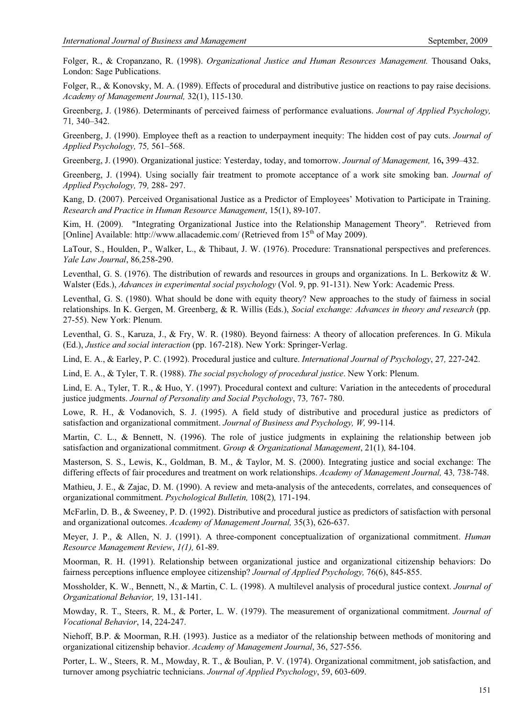Folger, R., & Cropanzano, R. (1998). *Organizational Justice and Human Resources Management.* Thousand Oaks, London: Sage Publications.

Folger, R., & Konovsky, M. A. (1989). Effects of procedural and distributive justice on reactions to pay raise decisions. *Academy of Management Journal,* 32(1), 115-130.

Greenberg, J. (1986). Determinants of perceived fairness of performance evaluations. *Journal of Applied Psychology,*  71*,* 340–342.

Greenberg, J. (1990). Employee theft as a reaction to underpayment inequity: The hidden cost of pay cuts. *Journal of Applied Psychology,* 75*,* 561–568.

Greenberg, J. (1990). Organizational justice: Yesterday, today, and tomorrow. *Journal of Management,* 16**,** 399–432.

Greenberg, J. (1994). Using socially fair treatment to promote acceptance of a work site smoking ban. *Journal of Applied Psychology,* 79*,* 288- 297.

Kang, D. (2007). Perceived Organisational Justice as a Predictor of Employees' Motivation to Participate in Training. *Research and Practice in Human Resource Management*, 15(1), 89-107.

Kim, H. (2009). "Integrating Organizational Justice into the Relationship Management Theory". Retrieved from [Online] Available: http://www.allacademic.com/ (Retrieved from  $15<sup>th</sup>$  of May 2009).

LaTour, S., Houlden, P., Walker, L., & Thibaut, J. W. (1976). Procedure: Transnational perspectives and preferences. *Yale Law Journal*, 86*,*258-290.

Leventhal, G. S. (1976). The distribution of rewards and resources in groups and organizations. In L. Berkowitz & W. Walster (Eds.), *Advances in experimental social psychology* (Vol. 9, pp. 91-131). New York: Academic Press.

Leventhal, G. S. (1980). What should be done with equity theory? New approaches to the study of fairness in social relationships. In K. Gergen, M. Greenberg, & R. Willis (Eds.), *Social exchange: Advances in theory and research* (pp. 27-55). New York: Plenum.

Leventhal, G. S., Karuza, J., & Fry, W. R. (1980). Beyond fairness: A theory of allocation preferences. In G. Mikula (Ed.), *Justice and social interaction* (pp. 167-218). New York: Springer-Verlag.

Lind, E. A., & Earley, P. C. (1992). Procedural justice and culture. *International Journal of Psychology*, 27*,* 227-242.

Lind, E. A., & Tyler, T. R. (1988). *The social psychology of procedural justice*. New York: Plenum.

Lind, E. A., Tyler, T. R., & Huo, Y. (1997). Procedural context and culture: Variation in the antecedents of procedural justice judgments. *Journal of Personality and Social Psychology*, 73*,* 767- 780.

Lowe, R. H., & Vodanovich, S. J. (1995). A field study of distributive and procedural justice as predictors of satisfaction and organizational commitment. *Journal of Business and Psychology, W,* 99-114.

Martin, C. L., & Bennett, N. (1996). The role of justice judgments in explaining the relationship between job satisfaction and organizational commitment. *Group & Organizational Management*, 21(1)*,* 84-104.

Masterson, S. S., Lewis, K., Goldman, B. M., & Taylor, M. S. (2000). Integrating justice and social exchange: The differing effects of fair procedures and treatment on work relationships. *Academy of Management Journal,* 43*,* 738-748.

Mathieu, J. E., & Zajac, D. M. (1990). A review and meta-analysis of the antecedents, correlates, and consequences of organizational commitment. *Psychological Bulletin,* 108(2)*,* 171-194.

McFarlin, D. B., & Sweeney, P. D. (1992). Distributive and procedural justice as predictors of satisfaction with personal and organizational outcomes. *Academy of Management Journal,* 35(3), 626-637.

Meyer, J. P., & Allen, N. J. (1991). A three-component conceptualization of organizational commitment. *Human Resource Management Review*, *1(1),* 61-89.

Moorman, R. H. (1991). Relationship between organizational justice and organizational citizenship behaviors: Do fairness perceptions influence employee citizenship? *Journal of Applied Psychology,* 76(6), 845-855.

Mossholder, K. W., Bennett, N., & Martin, C. L. (1998). A multilevel analysis of procedural justice context. *Journal of Organizational Behavior,* 19, 131-141.

Mowday, R. T., Steers, R. M., & Porter, L. W. (1979). The measurement of organizational commitment. *Journal of Vocational Behavior*, 14, 224-247.

Niehoff, B.P. & Moorman, R.H. (1993). Justice as a mediator of the relationship between methods of monitoring and organizational citizenship behavior. *Academy of Management Journal*, 36, 527-556.

Porter, L. W., Steers, R. M., Mowday, R. T., & Boulian, P. V. (1974). Organizational commitment, job satisfaction, and turnover among psychiatric technicians. *Journal of Applied Psychology*, 59, 603-609.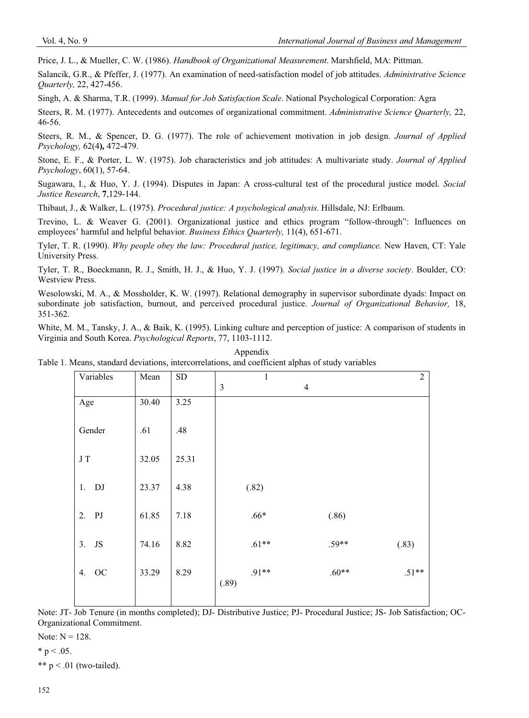Price, J. L., & Mueller, C. W. (1986). *Handbook of Organizational Measurement*. Marshfield, MA: Pittman.

Salancik, G.R., & Pfeffer, J. (1977). An examination of need-satisfaction model of job attitudes. *Administrative Science Quarterly,* 22, 427-456.

Singh, A. & Sharma, T.R. (1999). *Manual for Job Satisfaction Scale*. National Psychological Corporation: Agra

Steers, R. M. (1977). Antecedents and outcomes of organizational commitment. *Administrative Science Quarterly,* 22, 46-56.

Steers, R. M., & Spencer, D. G. (1977). The role of achievement motivation in job design. *Journal of Applied Psychology,* 62(4**)***,* 472-479.

Stone, E. F., & Porter, L. W. (1975). Job characteristics and job attitudes: A multivariate study. *Journal of Applied Psychology*, 60(1), 57-64.

Sugawara, I., & Huo, Y. J. (1994). Disputes in Japan: A cross-cultural test of the procedural justice model. *Social Justice Research*, **7**,129-144.

Thibaut, J., & Walker, L. (1975). *Procedural justice: A psychological analysis.* Hillsdale, NJ: Erlbaum.

Trevino, L. & Weaver G. (2001). Organizational justice and ethics program "follow-through": Influences on employees' harmful and helpful behavior. *Business Ethics Quarterly,* 11(4), 651-671.

Tyler, T. R. (1990). *Why people obey the law: Procedural justice, legitimacy, and compliance.* New Haven, CT: Yale University Press.

Tyler, T. R., Boeckmann, R. J., Smith, H. J., & Huo, Y. J. (1997). *Social justice in a diverse society*. Boulder, CO: Westview Press.

Wesolowski, M. A., & Mossholder, K. W. (1997). Relational demography in supervisor subordinate dyads: Impact on subordinate job satisfaction, burnout, and perceived procedural justice. *Journal of Organizational Behavior,* 18, 351-362.

White, M. M., Tansky, J. A., & Baik, K. (1995). Linking culture and perception of justice: A comparison of students in Virginia and South Korea. *Psychological Reports*, 77, 1103-1112.

| Variables      | Mean  | ${\rm SD}$ | $\mathbf{1}$     |                |         | $\overline{2}$ |
|----------------|-------|------------|------------------|----------------|---------|----------------|
|                |       |            | $\mathfrak{Z}$   | $\overline{4}$ |         |                |
| Age            | 30.40 | 3.25       |                  |                |         |                |
| Gender         | .61   | .48        |                  |                |         |                |
| ${\bf J}$ T    | 32.05 | 25.31      |                  |                |         |                |
| 1. DJ          | 23.37 | 4.38       | (.82)            |                |         |                |
| 2. PJ          | 61.85 | 7.18       | $.66*$           |                | (.86)   |                |
| $\rm JS$<br>3. | 74.16 | 8.82       | $.61**$          |                | $.59**$ | (.83)          |
| 4. OC          | 33.29 | 8.29       | $.91**$<br>(.89) |                | $.60**$ | $.51**$        |

Appendix Table 1. Means, standard deviations, intercorrelations, and coefficient alphas of study variables

Note: JT- Job Tenure (in months completed); DJ- Distributive Justice; PJ- Procedural Justice; JS- Job Satisfaction; OC-Organizational Commitment.

Note:  $N = 128$ .

 $*$  p < .05.

\*\*  $p < .01$  (two-tailed).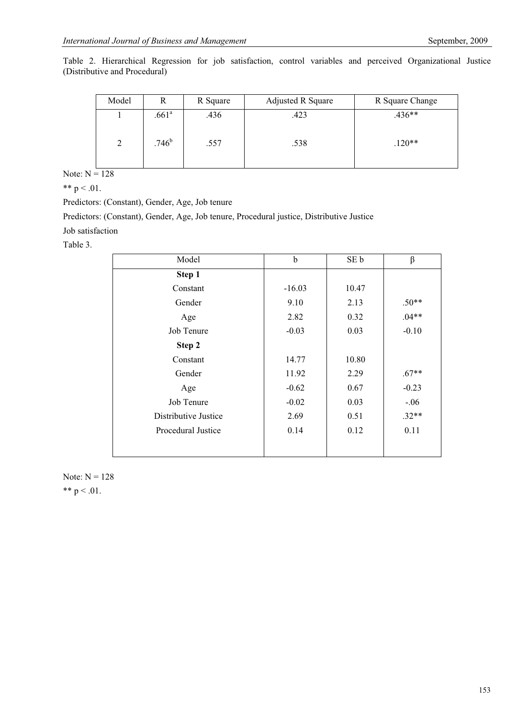Table 2. Hierarchical Regression for job satisfaction, control variables and perceived Organizational Justice (Distributive and Procedural)

| Model | R                 | R Square | <b>Adjusted R Square</b> | R Square Change |
|-------|-------------------|----------|--------------------------|-----------------|
|       | .661 <sup>a</sup> | .436     | .423                     | $.436**$        |
|       | .746 <sup>b</sup> | .557     | .538                     | $.120**$        |

Note:  $N = 128$ 

\*\*  $p < .01$ .

Predictors: (Constant), Gender, Age, Job tenure

Predictors: (Constant), Gender, Age, Job tenure, Procedural justice, Distributive Justice

Job satisfaction

Table 3.

| Model                | $\mathbf b$ | SE b  | β       |
|----------------------|-------------|-------|---------|
| Step 1               |             |       |         |
| Constant             | $-16.03$    | 10.47 |         |
| Gender               | 9.10        | 2.13  | $.50**$ |
| Age                  | 2.82        | 0.32  | $.04**$ |
| Job Tenure           | $-0.03$     | 0.03  | $-0.10$ |
| Step 2               |             |       |         |
| Constant             | 14.77       | 10.80 |         |
| Gender               | 11.92       | 2.29  | $.67**$ |
| Age                  | $-0.62$     | 0.67  | $-0.23$ |
| Job Tenure           | $-0.02$     | 0.03  | $-.06$  |
| Distributive Justice | 2.69        | 0.51  | $.32**$ |
| Procedural Justice   | 0.14        | 0.12  | 0.11    |
|                      |             |       |         |
|                      |             |       |         |

Note:  $N = 128$ 

\*\*  $p < .01$ .